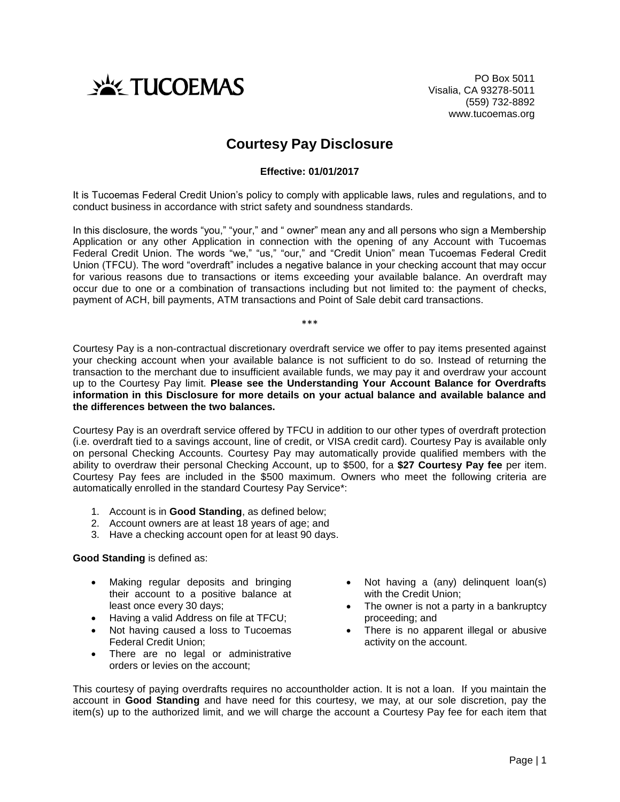

PO Box 5011 Visalia, CA 93278-5011 (559) 732-8892 www.tucoemas.org

# **Courtesy Pay Disclosure**

### **Effective: 01/01/2017**

It is Tucoemas Federal Credit Union's policy to comply with applicable laws, rules and regulations, and to conduct business in accordance with strict safety and soundness standards.

In this disclosure, the words "you," "your," and " owner" mean any and all persons who sign a Membership Application or any other Application in connection with the opening of any Account with Tucoemas Federal Credit Union. The words "we," "us," "our," and "Credit Union" mean Tucoemas Federal Credit Union (TFCU). The word "overdraft" includes a negative balance in your checking account that may occur for various reasons due to transactions or items exceeding your available balance. An overdraft may occur due to one or a combination of transactions including but not limited to: the payment of checks, payment of ACH, bill payments, ATM transactions and Point of Sale debit card transactions.

\*\*\*

Courtesy Pay is a non-contractual discretionary overdraft service we offer to pay items presented against your checking account when your available balance is not sufficient to do so. Instead of returning the transaction to the merchant due to insufficient available funds, we may pay it and overdraw your account up to the Courtesy Pay limit. **Please see the Understanding Your Account Balance for Overdrafts information in this Disclosure for more details on your actual balance and available balance and the differences between the two balances.**

Courtesy Pay is an overdraft service offered by TFCU in addition to our other types of overdraft protection (i.e. overdraft tied to a savings account, line of credit, or VISA credit card). Courtesy Pay is available only on personal Checking Accounts. Courtesy Pay may automatically provide qualified members with the ability to overdraw their personal Checking Account, up to \$500, for a **\$27 Courtesy Pay fee** per item. Courtesy Pay fees are included in the \$500 maximum. Owners who meet the following criteria are automatically enrolled in the standard Courtesy Pay Service\*:

- 1. Account is in **Good Standing**, as defined below;
- 2. Account owners are at least 18 years of age; and
- 3. Have a checking account open for at least 90 days.

#### **Good Standing** is defined as:

- Making regular deposits and bringing their account to a positive balance at least once every 30 days;
- Having a valid Address on file at TFCU;
- Not having caused a loss to Tucoemas Federal Credit Union;
- There are no legal or administrative orders or levies on the account;
- Not having a (any) delinquent loan(s) with the Credit Union;
- The owner is not a party in a bankruptcy proceeding; and
- There is no apparent illegal or abusive activity on the account.

This courtesy of paying overdrafts requires no accountholder action. It is not a loan. If you maintain the account in **Good Standing** and have need for this courtesy, we may, at our sole discretion, pay the item(s) up to the authorized limit, and we will charge the account a Courtesy Pay fee for each item that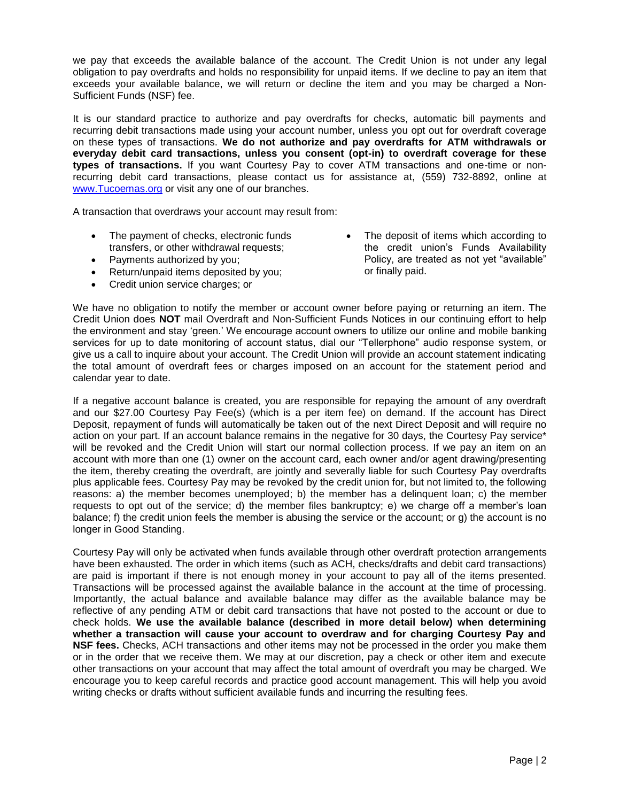we pay that exceeds the available balance of the account. The Credit Union is not under any legal obligation to pay overdrafts and holds no responsibility for unpaid items. If we decline to pay an item that exceeds your available balance, we will return or decline the item and you may be charged a Non-Sufficient Funds (NSF) fee.

It is our standard practice to authorize and pay overdrafts for checks, automatic bill payments and recurring debit transactions made using your account number, unless you opt out for overdraft coverage on these types of transactions. **We do not authorize and pay overdrafts for ATM withdrawals or everyday debit card transactions, unless you consent (opt-in) to overdraft coverage for these types of transactions.** If you want Courtesy Pay to cover ATM transactions and one-time or nonrecurring debit card transactions, please contact us for assistance at, (559) 732-8892, online at [www.Tucoemas.org](http://www.tucoemas.org/) or visit any one of our branches.

A transaction that overdraws your account may result from:

- The payment of checks, electronic funds transfers, or other withdrawal requests;
- Payments authorized by you;
- Return/unpaid items deposited by you;
- Credit union service charges; or

 The deposit of items which according to the credit union's Funds Availability Policy, are treated as not yet "available" or finally paid.

We have no obligation to notify the member or account owner before paying or returning an item. The Credit Union does **NOT** mail Overdraft and Non-Sufficient Funds Notices in our continuing effort to help the environment and stay 'green.' We encourage account owners to utilize our online and mobile banking services for up to date monitoring of account status, dial our "Tellerphone" audio response system, or give us a call to inquire about your account. The Credit Union will provide an account statement indicating the total amount of overdraft fees or charges imposed on an account for the statement period and calendar year to date.

If a negative account balance is created, you are responsible for repaying the amount of any overdraft and our \$27.00 Courtesy Pay Fee(s) (which is a per item fee) on demand. If the account has Direct Deposit, repayment of funds will automatically be taken out of the next Direct Deposit and will require no action on your part. If an account balance remains in the negative for 30 days, the Courtesy Pay service\* will be revoked and the Credit Union will start our normal collection process. If we pay an item on an account with more than one (1) owner on the account card, each owner and/or agent drawing/presenting the item, thereby creating the overdraft, are jointly and severally liable for such Courtesy Pay overdrafts plus applicable fees. Courtesy Pay may be revoked by the credit union for, but not limited to, the following reasons: a) the member becomes unemployed; b) the member has a delinquent loan; c) the member requests to opt out of the service; d) the member files bankruptcy; e) we charge off a member's loan balance; f) the credit union feels the member is abusing the service or the account; or g) the account is no longer in Good Standing.

Courtesy Pay will only be activated when funds available through other overdraft protection arrangements have been exhausted. The order in which items (such as ACH, checks/drafts and debit card transactions) are paid is important if there is not enough money in your account to pay all of the items presented. Transactions will be processed against the available balance in the account at the time of processing. Importantly, the actual balance and available balance may differ as the available balance may be reflective of any pending ATM or debit card transactions that have not posted to the account or due to check holds. **We use the available balance (described in more detail below) when determining whether a transaction will cause your account to overdraw and for charging Courtesy Pay and NSF fees.** Checks, ACH transactions and other items may not be processed in the order you make them or in the order that we receive them. We may at our discretion, pay a check or other item and execute other transactions on your account that may affect the total amount of overdraft you may be charged. We encourage you to keep careful records and practice good account management. This will help you avoid writing checks or drafts without sufficient available funds and incurring the resulting fees.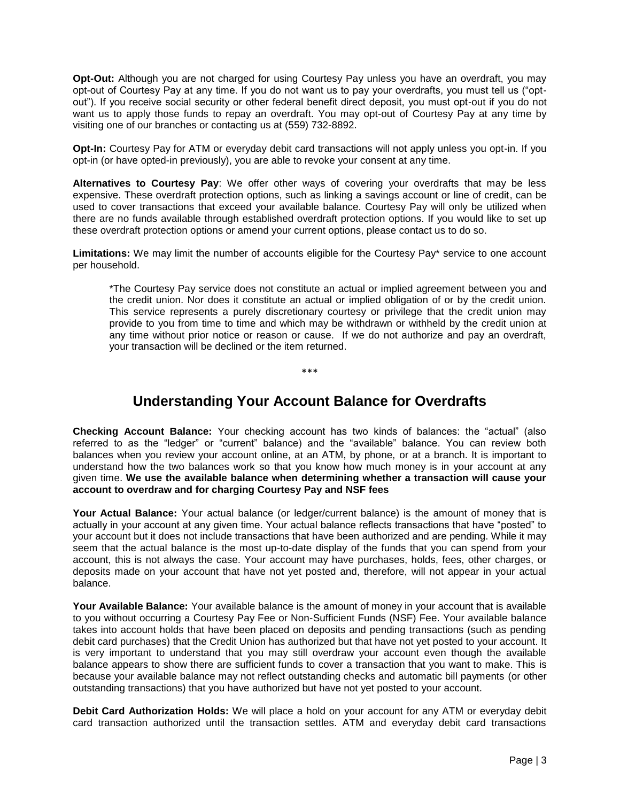**Opt-Out:** Although you are not charged for using Courtesy Pay unless you have an overdraft, you may opt-out of Courtesy Pay at any time. If you do not want us to pay your overdrafts, you must tell us ("optout"). If you receive social security or other federal benefit direct deposit, you must opt-out if you do not want us to apply those funds to repay an overdraft. You may opt-out of Courtesy Pay at any time by visiting one of our branches or contacting us at (559) 732-8892.

**Opt-In:** Courtesy Pay for ATM or everyday debit card transactions will not apply unless you opt-in. If you opt-in (or have opted-in previously), you are able to revoke your consent at any time.

**Alternatives to Courtesy Pay**: We offer other ways of covering your overdrafts that may be less expensive. These overdraft protection options, such as linking a savings account or line of credit, can be used to cover transactions that exceed your available balance. Courtesy Pay will only be utilized when there are no funds available through established overdraft protection options. If you would like to set up these overdraft protection options or amend your current options, please contact us to do so.

**Limitations:** We may limit the number of accounts eligible for the Courtesy Pay\* service to one account per household.

\*The Courtesy Pay service does not constitute an actual or implied agreement between you and the credit union. Nor does it constitute an actual or implied obligation of or by the credit union. This service represents a purely discretionary courtesy or privilege that the credit union may provide to you from time to time and which may be withdrawn or withheld by the credit union at any time without prior notice or reason or cause. If we do not authorize and pay an overdraft, your transaction will be declined or the item returned.

#### \*\*\*

## **Understanding Your Account Balance for Overdrafts**

**Checking Account Balance:** Your checking account has two kinds of balances: the "actual" (also referred to as the "ledger" or "current" balance) and the "available" balance. You can review both balances when you review your account online, at an ATM, by phone, or at a branch. It is important to understand how the two balances work so that you know how much money is in your account at any given time. **We use the available balance when determining whether a transaction will cause your account to overdraw and for charging Courtesy Pay and NSF fees**

**Your Actual Balance:** Your actual balance (or ledger/current balance) is the amount of money that is actually in your account at any given time. Your actual balance reflects transactions that have "posted" to your account but it does not include transactions that have been authorized and are pending. While it may seem that the actual balance is the most up-to-date display of the funds that you can spend from your account, this is not always the case. Your account may have purchases, holds, fees, other charges, or deposits made on your account that have not yet posted and, therefore, will not appear in your actual balance.

**Your Available Balance:** Your available balance is the amount of money in your account that is available to you without occurring a Courtesy Pay Fee or Non-Sufficient Funds (NSF) Fee. Your available balance takes into account holds that have been placed on deposits and pending transactions (such as pending debit card purchases) that the Credit Union has authorized but that have not yet posted to your account. It is very important to understand that you may still overdraw your account even though the available balance appears to show there are sufficient funds to cover a transaction that you want to make. This is because your available balance may not reflect outstanding checks and automatic bill payments (or other outstanding transactions) that you have authorized but have not yet posted to your account.

**Debit Card Authorization Holds:** We will place a hold on your account for any ATM or everyday debit card transaction authorized until the transaction settles. ATM and everyday debit card transactions